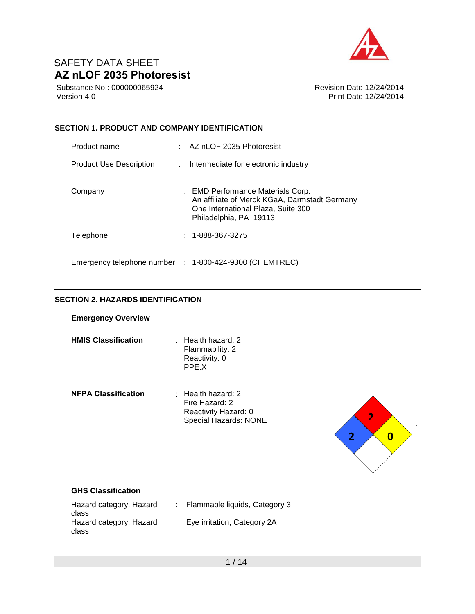

Substance No.: 000000065924 Version 4.0

Revision Date 12/24/2014 Print Date 12/24/2014

## **SECTION 1. PRODUCT AND COMPANY IDENTIFICATION**

| Product name            | $\therefore$ AZ nLOF 2035 Photoresist                                                                                                              |
|-------------------------|----------------------------------------------------------------------------------------------------------------------------------------------------|
| Product Use Description | : Intermediate for electronic industry                                                                                                             |
| Company                 | : EMD Performance Materials Corp.<br>An affiliate of Merck KGaA, Darmstadt Germany<br>One International Plaza, Suite 300<br>Philadelphia, PA 19113 |
| Telephone               | $: 1 - 888 - 367 - 3275$                                                                                                                           |
|                         | Emergency telephone number : 1-800-424-9300 (CHEMTREC)                                                                                             |

### **SECTION 2. HAZARDS IDENTIFICATION**

#### **Emergency Overview**

- **HMIS Classification** : Health hazard: 2 Flammability: 2 Reactivity: 0 PPE:X
- **NFPA Classification** : Health hazard: 2 Fire Hazard: 2 Reactivity Hazard: 0 Special Hazards: NONE



### **GHS Classification**

| Hazard category, Hazard | : Flammable liquids, Category 3 |
|-------------------------|---------------------------------|
| class                   |                                 |
| Hazard category, Hazard | Eye irritation, Category 2A     |
| class                   |                                 |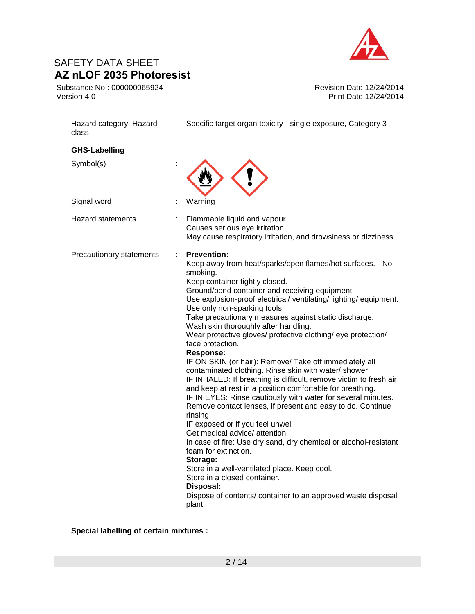Substance No.: 000000065924 Version 4.0



Revision Date 12/24/2014 Print Date 12/24/2014

| Hazard category, Hazard<br>class | Specific target organ toxicity - single exposure, Category 3                                                                                                                                                                                                                                                                                                                                                                                                                                                                                                                                                                                                                                                                                                                                                                                                                                                                                                                                                                                                                                                                                                                                                                                |
|----------------------------------|---------------------------------------------------------------------------------------------------------------------------------------------------------------------------------------------------------------------------------------------------------------------------------------------------------------------------------------------------------------------------------------------------------------------------------------------------------------------------------------------------------------------------------------------------------------------------------------------------------------------------------------------------------------------------------------------------------------------------------------------------------------------------------------------------------------------------------------------------------------------------------------------------------------------------------------------------------------------------------------------------------------------------------------------------------------------------------------------------------------------------------------------------------------------------------------------------------------------------------------------|
| <b>GHS-Labelling</b>             |                                                                                                                                                                                                                                                                                                                                                                                                                                                                                                                                                                                                                                                                                                                                                                                                                                                                                                                                                                                                                                                                                                                                                                                                                                             |
| Symbol(s)                        |                                                                                                                                                                                                                                                                                                                                                                                                                                                                                                                                                                                                                                                                                                                                                                                                                                                                                                                                                                                                                                                                                                                                                                                                                                             |
| Signal word                      | Warning                                                                                                                                                                                                                                                                                                                                                                                                                                                                                                                                                                                                                                                                                                                                                                                                                                                                                                                                                                                                                                                                                                                                                                                                                                     |
| <b>Hazard statements</b>         | Flammable liquid and vapour.<br>Causes serious eye irritation.<br>May cause respiratory irritation, and drowsiness or dizziness.                                                                                                                                                                                                                                                                                                                                                                                                                                                                                                                                                                                                                                                                                                                                                                                                                                                                                                                                                                                                                                                                                                            |
| Precautionary statements         | <b>Prevention:</b><br>Keep away from heat/sparks/open flames/hot surfaces. - No<br>smoking.<br>Keep container tightly closed.<br>Ground/bond container and receiving equipment.<br>Use explosion-proof electrical/ ventilating/ lighting/ equipment.<br>Use only non-sparking tools.<br>Take precautionary measures against static discharge.<br>Wash skin thoroughly after handling.<br>Wear protective gloves/ protective clothing/ eye protection/<br>face protection.<br>Response:<br>IF ON SKIN (or hair): Remove/ Take off immediately all<br>contaminated clothing. Rinse skin with water/ shower.<br>IF INHALED: If breathing is difficult, remove victim to fresh air<br>and keep at rest in a position comfortable for breathing.<br>IF IN EYES: Rinse cautiously with water for several minutes.<br>Remove contact lenses, if present and easy to do. Continue<br>rinsing.<br>IF exposed or if you feel unwell:<br>Get medical advice/ attention.<br>In case of fire: Use dry sand, dry chemical or alcohol-resistant<br>foam for extinction.<br>Storage:<br>Store in a well-ventilated place. Keep cool.<br>Store in a closed container.<br>Disposal:<br>Dispose of contents/ container to an approved waste disposal<br>plant. |

**Special labelling of certain mixtures :**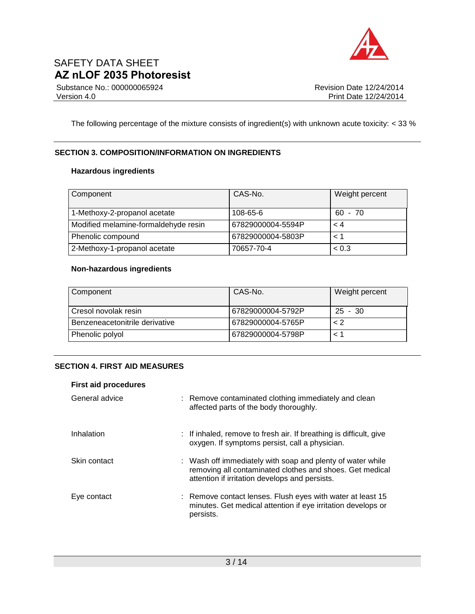

Substance No.: 000000065924 Version 4.0

The following percentage of the mixture consists of ingredient(s) with unknown acute toxicity: < 33 %

### **SECTION 3. COMPOSITION/INFORMATION ON INGREDIENTS**

### **Hazardous ingredients**

| Component                            | CAS-No.           | Weight percent |
|--------------------------------------|-------------------|----------------|
| 1-Methoxy-2-propanol acetate         | 108-65-6          | $60 - 70$      |
| Modified melamine-formaldehyde resin | 67829000004-5594P | < 4            |
| Phenolic compound                    | 67829000004-5803P | 1 >            |
| 2-Methoxy-1-propanol acetate         | 70657-70-4        | < 0.3          |

#### **Non-hazardous ingredients**

| Component                      | CAS-No.           | Weight percent |
|--------------------------------|-------------------|----------------|
| Cresol novolak resin           | 67829000004-5792P | $25 - 30$      |
| Benzeneacetonitrile derivative | 67829000004-5765P | 2 >            |
| Phenolic polyol                | 67829000004-5798P |                |

### **SECTION 4. FIRST AID MEASURES**

| <b>First aid procedures</b> |                                                                                                                                                                          |
|-----------------------------|--------------------------------------------------------------------------------------------------------------------------------------------------------------------------|
| General advice              | : Remove contaminated clothing immediately and clean<br>affected parts of the body thoroughly.                                                                           |
| Inhalation                  | : If inhaled, remove to fresh air. If breathing is difficult, give<br>oxygen. If symptoms persist, call a physician.                                                     |
| Skin contact                | : Wash off immediately with soap and plenty of water while<br>removing all contaminated clothes and shoes. Get medical<br>attention if irritation develops and persists. |
| Eye contact                 | : Remove contact lenses. Flush eyes with water at least 15<br>minutes. Get medical attention if eye irritation develops or<br>persists.                                  |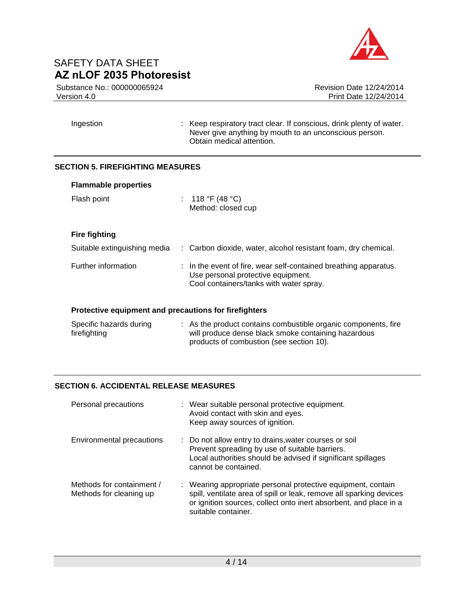

Substance No.: 000000065924 Version 4.0

| Ingestion | : Keep respiratory tract clear. If conscious, drink plenty of water. |
|-----------|----------------------------------------------------------------------|
|           | Never give anything by mouth to an unconscious person.               |
|           | Obtain medical attention.                                            |

### **SECTION 5. FIREFIGHTING MEASURES**

| <b>Flammable properties</b>                           |                                                                                                                                                   |
|-------------------------------------------------------|---------------------------------------------------------------------------------------------------------------------------------------------------|
| Flash point                                           | : 118 °F (48 °C)<br>Method: closed cup                                                                                                            |
| <b>Fire fighting</b>                                  |                                                                                                                                                   |
| Suitable extinguishing media                          | : Carbon dioxide, water, alcohol resistant foam, dry chemical.                                                                                    |
| Further information                                   | : In the event of fire, wear self-contained breathing apparatus.<br>Use personal protective equipment.<br>Cool containers/tanks with water spray. |
| Protective equipment and precautions for firefighters |                                                                                                                                                   |
| Specific hazards during<br>firefighting               | : As the product contains combustible organic components, fire<br>will produce dense black smoke containing hazardous                             |

products of combustion (see section 10).

## **SECTION 6. ACCIDENTAL RELEASE MEASURES**

| Personal precautions                                 | : Wear suitable personal protective equipment.<br>Avoid contact with skin and eyes.<br>Keep away sources of ignition.                                                                                                           |
|------------------------------------------------------|---------------------------------------------------------------------------------------------------------------------------------------------------------------------------------------------------------------------------------|
| Environmental precautions                            | : Do not allow entry to drains, water courses or soil<br>Prevent spreading by use of suitable barriers.<br>Local authorities should be advised if significant spillages<br>cannot be contained.                                 |
| Methods for containment /<br>Methods for cleaning up | : Wearing appropriate personal protective equipment, contain<br>spill, ventilate area of spill or leak, remove all sparking devices<br>or ignition sources, collect onto inert absorbent, and place in a<br>suitable container. |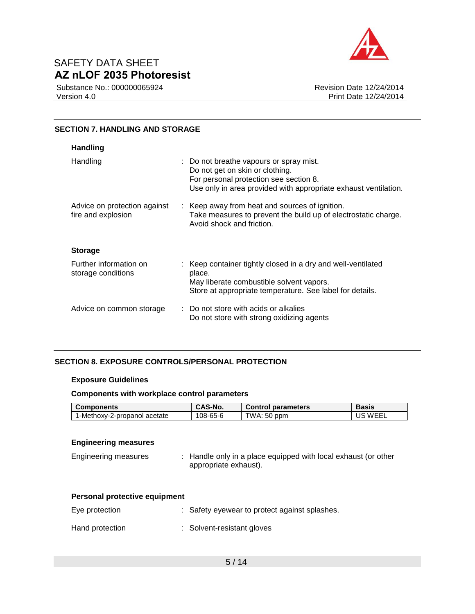

Substance No.: 000000065924 Version 4.0

Revision Date 12/24/2014 Print Date 12/24/2014

#### **SECTION 7. HANDLING AND STORAGE**

| <b>Handling</b>                                    |                                                                                                                                                                                         |
|----------------------------------------------------|-----------------------------------------------------------------------------------------------------------------------------------------------------------------------------------------|
| Handling                                           | : Do not breathe vapours or spray mist.<br>Do not get on skin or clothing.<br>For personal protection see section 8.<br>Use only in area provided with appropriate exhaust ventilation. |
| Advice on protection against<br>fire and explosion | : Keep away from heat and sources of ignition.<br>Take measures to prevent the build up of electrostatic charge.<br>Avoid shock and friction.                                           |
| <b>Storage</b>                                     |                                                                                                                                                                                         |
| Further information on<br>storage conditions       | : Keep container tightly closed in a dry and well-ventilated<br>place.<br>May liberate combustible solvent vapors.<br>Store at appropriate temperature. See label for details.          |
| Advice on common storage                           | : Do not store with acids or alkalies<br>Do not store with strong oxidizing agents                                                                                                      |

## **SECTION 8. EXPOSURE CONTROLS/PERSONAL PROTECTION**

#### **Exposure Guidelines**

#### **Components with workplace control parameters**

| <b>Components</b>            | CAS-No.  | <b>Control parameters</b> | Basis |
|------------------------------|----------|---------------------------|-------|
| I-Methoxy-2-propanol acetate | 108-65-6 | TWA: 50 ppm               | WFFI  |

#### **Engineering measures**

| <b>Engineering measures</b> | : Handle only in a place equipped with local exhaust (or other |
|-----------------------------|----------------------------------------------------------------|
|                             | appropriate exhaust).                                          |

| Personal protective equipment |
|-------------------------------|
|-------------------------------|

| Eye protection  | : Safety eyewear to protect against splashes. |
|-----------------|-----------------------------------------------|
| Hand protection | : Solvent-resistant gloves                    |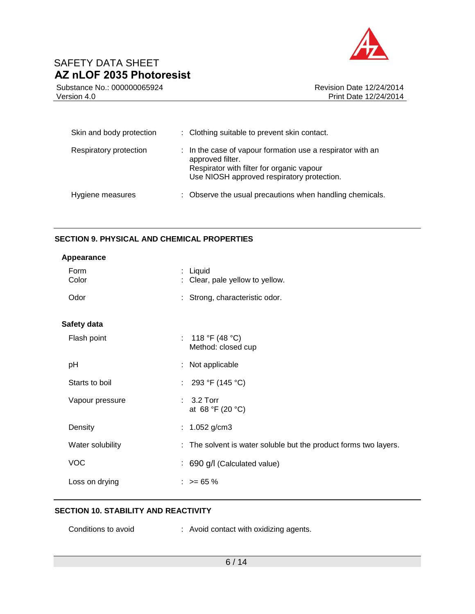

Substance No.: 000000065924 Version 4.0

Revision Date 12/24/2014 Print Date 12/24/2014

| Skin and body protection | : Clothing suitable to prevent skin contact.                                                                                                                              |
|--------------------------|---------------------------------------------------------------------------------------------------------------------------------------------------------------------------|
| Respiratory protection   | : In the case of vapour formation use a respirator with an<br>approved filter.<br>Respirator with filter for organic vapour<br>Use NIOSH approved respiratory protection. |
| Hygiene measures         | : Observe the usual precautions when handling chemicals.                                                                                                                  |

### **SECTION 9. PHYSICAL AND CHEMICAL PROPERTIES**

| Appearance       |   |                                                                  |
|------------------|---|------------------------------------------------------------------|
| Form<br>Color    | ÷ | Liquid<br>Clear, pale yellow to yellow.                          |
| Odor             |   | : Strong, characteristic odor.                                   |
| Safety data      |   |                                                                  |
| Flash point      |   | : 118 °F (48 °C)<br>Method: closed cup                           |
| pH               |   | : Not applicable                                                 |
| Starts to boil   |   | : 293 °F (145 °C)                                                |
| Vapour pressure  |   | $: 3.2$ Torr<br>at 68 °F (20 °C)                                 |
| Density          |   | : $1.052$ g/cm3                                                  |
| Water solubility |   | : The solvent is water soluble but the product forms two layers. |
| <b>VOC</b>       |   | : 690 g/l (Calculated value)                                     |
| Loss on drying   |   | $: z = 65 \%$                                                    |

### **SECTION 10. STABILITY AND REACTIVITY**

| Conditions to avoid |  | : Avoid contact with oxidizing agents. |  |
|---------------------|--|----------------------------------------|--|
|---------------------|--|----------------------------------------|--|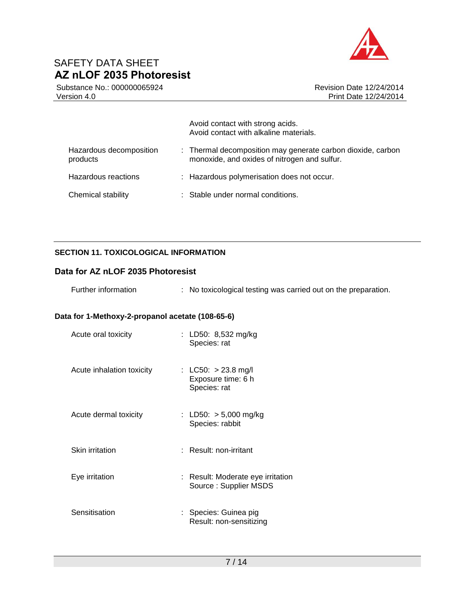

Substance No.: 000000065924 Version 4.0

Revision Date 12/24/2014 Print Date 12/24/2014

|                                     | Avoid contact with strong acids.<br>Avoid contact with alkaline materials.                                  |
|-------------------------------------|-------------------------------------------------------------------------------------------------------------|
| Hazardous decomposition<br>products | : Thermal decomposition may generate carbon dioxide, carbon<br>monoxide, and oxides of nitrogen and sulfur. |
| Hazardous reactions                 | : Hazardous polymerisation does not occur.                                                                  |
| Chemical stability                  | : Stable under normal conditions.                                                                           |

## **SECTION 11. TOXICOLOGICAL INFORMATION**

### **Data for AZ nLOF 2035 Photoresist**

| Further information |  | No toxicological testing was carried out on the preparation. |  |  |  |
|---------------------|--|--------------------------------------------------------------|--|--|--|
|---------------------|--|--------------------------------------------------------------|--|--|--|

## **Data for 1-Methoxy-2-propanol acetate (108-65-6)**

| Acute oral toxicity       | : LD50: 8,532 mg/kg<br>Species: rat                         |
|---------------------------|-------------------------------------------------------------|
| Acute inhalation toxicity | : LC50: $>$ 23.8 mg/l<br>Exposure time: 6 h<br>Species: rat |
| Acute dermal toxicity     | : LD50: $> 5,000$ mg/kg<br>Species: rabbit                  |
| <b>Skin irritation</b>    | : Result: non-irritant                                      |
| Eye irritation            | : Result: Moderate eye irritation<br>Source: Supplier MSDS  |
| Sensitisation             | : Species: Guinea pig<br>Result: non-sensitizing            |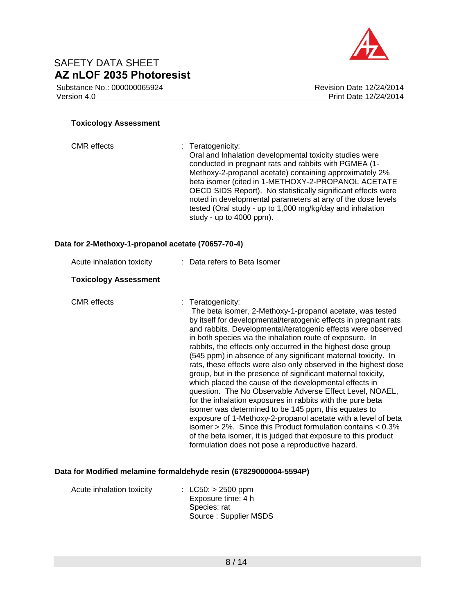Substance No.: 000000065924 Version 4.0



#### **Toxicology Assessment**

| <b>CMR</b> effects                                 | : Teratogenicity:<br>Oral and Inhalation developmental toxicity studies were<br>conducted in pregnant rats and rabbits with PGMEA (1-<br>Methoxy-2-propanol acetate) containing approximately 2%<br>beta isomer (cited in 1-METHOXY-2-PROPANOL ACETATE<br>OECD SIDS Report). No statistically significant effects were<br>noted in developmental parameters at any of the dose levels<br>tested (Oral study - up to 1,000 mg/kg/day and inhalation<br>study - up to 4000 ppm).                                                                                                                                                                                                                                                                                                                                                                                                                                                                                                                                                                              |
|----------------------------------------------------|-------------------------------------------------------------------------------------------------------------------------------------------------------------------------------------------------------------------------------------------------------------------------------------------------------------------------------------------------------------------------------------------------------------------------------------------------------------------------------------------------------------------------------------------------------------------------------------------------------------------------------------------------------------------------------------------------------------------------------------------------------------------------------------------------------------------------------------------------------------------------------------------------------------------------------------------------------------------------------------------------------------------------------------------------------------|
| Data for 2-Methoxy-1-propanol acetate (70657-70-4) |                                                                                                                                                                                                                                                                                                                                                                                                                                                                                                                                                                                                                                                                                                                                                                                                                                                                                                                                                                                                                                                             |
| Acute inhalation toxicity                          | : Data refers to Beta Isomer                                                                                                                                                                                                                                                                                                                                                                                                                                                                                                                                                                                                                                                                                                                                                                                                                                                                                                                                                                                                                                |
| <b>Toxicology Assessment</b>                       |                                                                                                                                                                                                                                                                                                                                                                                                                                                                                                                                                                                                                                                                                                                                                                                                                                                                                                                                                                                                                                                             |
| <b>CMR</b> effects                                 | : Teratogenicity:<br>The beta isomer, 2-Methoxy-1-propanol acetate, was tested<br>by itself for developmental/teratogenic effects in pregnant rats<br>and rabbits. Developmental/teratogenic effects were observed<br>in both species via the inhalation route of exposure. In<br>rabbits, the effects only occurred in the highest dose group<br>(545 ppm) in absence of any significant maternal toxicity. In<br>rats, these effects were also only observed in the highest dose<br>group, but in the presence of significant maternal toxicity,<br>which placed the cause of the developmental effects in<br>question. The No Observable Adverse Effect Level, NOAEL,<br>for the inhalation exposures in rabbits with the pure beta<br>isomer was determined to be 145 ppm, this equates to<br>exposure of 1-Methoxy-2-propanol acetate with a level of beta<br>isomer $> 2\%$ . Since this Product formulation contains $< 0.3\%$<br>of the beta isomer, it is judged that exposure to this product<br>formulation does not pose a reproductive hazard. |

## **Data for Modified melamine formaldehyde resin (67829000004-5594P)**

| Acute inhalation toxicity | : $LC50: > 2500$ ppm  |
|---------------------------|-----------------------|
|                           | Exposure time: 4 h    |
|                           | Species: rat          |
|                           | Source: Supplier MSDS |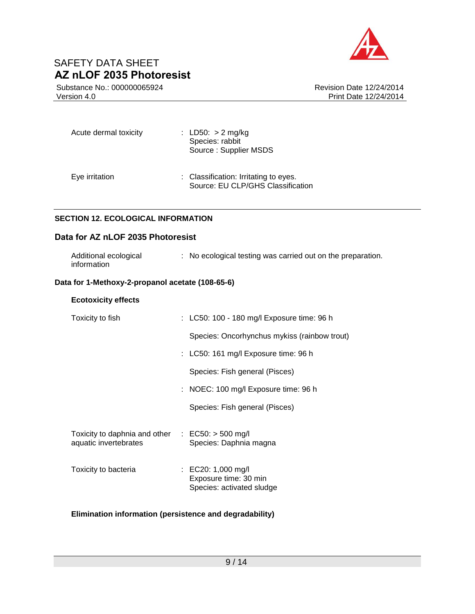

Substance No.: 000000065924 Version 4.0

Revision Date 12/24/2014 Print Date 12/24/2014

| Acute dermal toxicity | : LD50: $> 2$ mg/kg<br>Species: rabbit<br>Source: Supplier MSDS            |  |  |
|-----------------------|----------------------------------------------------------------------------|--|--|
| Eye irritation        | : Classification: Irritating to eyes.<br>Source: EU CLP/GHS Classification |  |  |

## **SECTION 12. ECOLOGICAL INFORMATION**

### **Data for AZ nLOF 2035 Photoresist**

| Additional ecological | : No ecological testing was carried out on the preparation. |
|-----------------------|-------------------------------------------------------------|
| information           |                                                             |

### **Data for 1-Methoxy-2-propanol acetate (108-65-6)**

| <b>Ecotoxicity effects</b>                                                             |  |                                                                          |  |  |
|----------------------------------------------------------------------------------------|--|--------------------------------------------------------------------------|--|--|
| Toxicity to fish                                                                       |  | : LC50: 100 - 180 mg/l Exposure time: 96 h                               |  |  |
|                                                                                        |  | Species: Oncorhynchus mykiss (rainbow trout)                             |  |  |
|                                                                                        |  | $\therefore$ LC50: 161 mg/l Exposure time: 96 h                          |  |  |
|                                                                                        |  | Species: Fish general (Pisces)                                           |  |  |
|                                                                                        |  | $:$ NOEC: 100 mg/l Exposure time: 96 h                                   |  |  |
|                                                                                        |  | Species: Fish general (Pisces)                                           |  |  |
| Toxicity to daphnia and other $\therefore$ EC50: $>$ 500 mg/l<br>aquatic invertebrates |  | Species: Daphnia magna                                                   |  |  |
| Toxicity to bacteria                                                                   |  | : EC20: 1,000 mg/l<br>Exposure time: 30 min<br>Species: activated sludge |  |  |

#### **Elimination information (persistence and degradability)**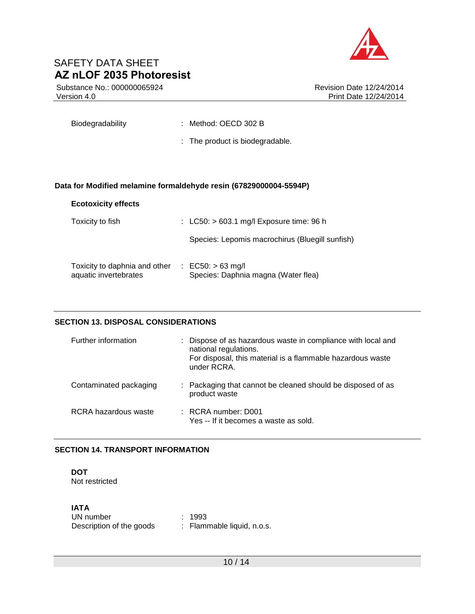

Substance No.: 000000065924 Version 4.0

Biodegradability : Method: OECD 302 B

: The product is biodegradable.

#### **Data for Modified melamine formaldehyde resin (67829000004-5594P)**

### **Ecotoxicity effects**

| Toxicity to fish                                       | $\therefore$ LC50: > 603.1 mg/l Exposure time: 96 h        |
|--------------------------------------------------------|------------------------------------------------------------|
|                                                        | Species: Lepomis macrochirus (Bluegill sunfish)            |
| Toxicity to daphnia and other<br>aquatic invertebrates | : $EC50: > 63$ mg/l<br>Species: Daphnia magna (Water flea) |

### **SECTION 13. DISPOSAL CONSIDERATIONS**

| Further information    | : Dispose of as hazardous waste in compliance with local and<br>national regulations.<br>For disposal, this material is a flammable hazardous waste<br>under RCRA. |
|------------------------|--------------------------------------------------------------------------------------------------------------------------------------------------------------------|
| Contaminated packaging | : Packaging that cannot be cleaned should be disposed of as<br>product waste                                                                                       |
| RCRA hazardous waste   | $:$ RCRA number: D001<br>Yes -- If it becomes a waste as sold.                                                                                                     |

### **SECTION 14. TRANSPORT INFORMATION**

#### **DOT** Not restricted

### **IATA**

| UN number                | : 1993                     |
|--------------------------|----------------------------|
| Description of the goods | : Flammable liquid, n.o.s. |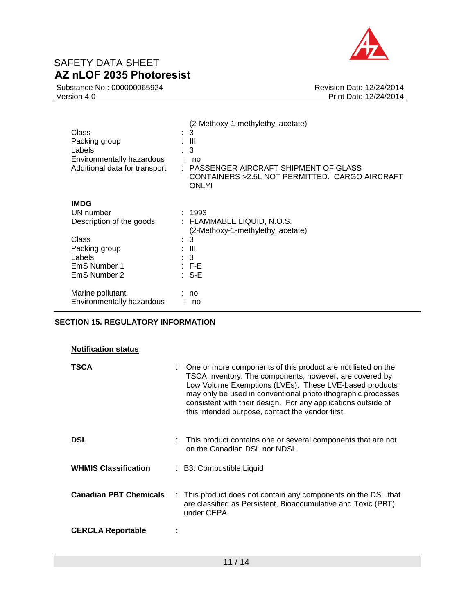

Substance No.: 000000065924 Version 4.0

Revision Date 12/24/2014 Print Date 12/24/2014

| Class<br>Packing group<br>Labels<br>Environmentally hazardous<br>Additional data for transport | (2-Methoxy-1-methylethyl acetate)<br>3<br>÷<br>: III<br>3<br>÷.<br>: no<br>: PASSENGER AIRCRAFT SHIPMENT OF GLASS<br>CONTAINERS > 2.5L NOT PERMITTED. CARGO AIRCRAFT<br>ONLY! |
|------------------------------------------------------------------------------------------------|-------------------------------------------------------------------------------------------------------------------------------------------------------------------------------|
| <b>IMDG</b>                                                                                    |                                                                                                                                                                               |
| UN number                                                                                      | : 1993                                                                                                                                                                        |
| Description of the goods                                                                       | : FLAMMABLE LIQUID, N.O.S.                                                                                                                                                    |
|                                                                                                | (2-Methoxy-1-methylethyl acetate)                                                                                                                                             |
| Class                                                                                          | -3<br>÷                                                                                                                                                                       |
| Packing group                                                                                  | : III                                                                                                                                                                         |
| Labels                                                                                         | $\therefore$ 3                                                                                                                                                                |
| EmS Number 1                                                                                   | $\pm$ F-E.                                                                                                                                                                    |
| EmS Number 2                                                                                   | $: S-E$                                                                                                                                                                       |
| Marine pollutant<br>Environmentally hazardous                                                  | no<br>no                                                                                                                                                                      |

### **SECTION 15. REGULATORY INFORMATION**

#### **Notification status**

| <b>TSCA</b>                   | : One or more components of this product are not listed on the<br>TSCA Inventory. The components, however, are covered by<br>Low Volume Exemptions (LVEs). These LVE-based products<br>may only be used in conventional photolithographic processes<br>consistent with their design. For any applications outside of<br>this intended purpose, contact the vendor first. |  |
|-------------------------------|--------------------------------------------------------------------------------------------------------------------------------------------------------------------------------------------------------------------------------------------------------------------------------------------------------------------------------------------------------------------------|--|
| <b>DSL</b>                    | This product contains one or several components that are not<br>on the Canadian DSL nor NDSL.                                                                                                                                                                                                                                                                            |  |
| <b>WHMIS Classification</b>   | : B3: Combustible Liquid                                                                                                                                                                                                                                                                                                                                                 |  |
| <b>Canadian PBT Chemicals</b> | : This product does not contain any components on the DSL that<br>are classified as Persistent, Bioaccumulative and Toxic (PBT)<br>under CEPA.                                                                                                                                                                                                                           |  |
| <b>CERCLA Reportable</b>      |                                                                                                                                                                                                                                                                                                                                                                          |  |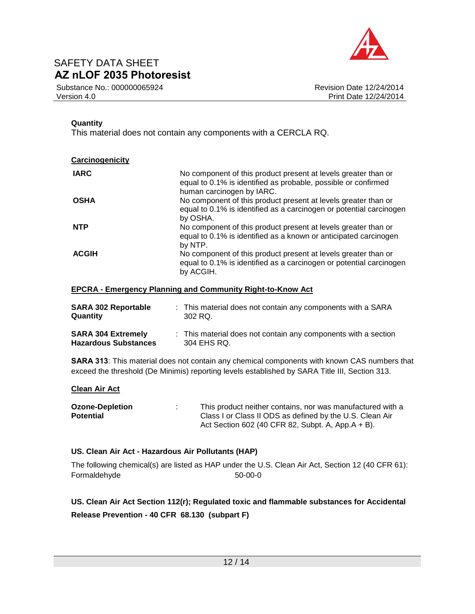

Substance No.: 000000065924 Version 4.0

### **Quantity**

This material does not contain any components with a CERCLA RQ.

| Carcinogenicity |                                                                                                                                                               |
|-----------------|---------------------------------------------------------------------------------------------------------------------------------------------------------------|
| <b>IARC</b>     | No component of this product present at levels greater than or<br>equal to 0.1% is identified as probable, possible or confirmed<br>human carcinogen by IARC. |
| <b>OSHA</b>     | No component of this product present at levels greater than or<br>equal to 0.1% is identified as a carcinogen or potential carcinogen<br>by OSHA.             |
| <b>NTP</b>      | No component of this product present at levels greater than or<br>equal to 0.1% is identified as a known or anticipated carcinogen<br>by NTP.                 |
| <b>ACGIH</b>    | No component of this product present at levels greater than or<br>equal to 0.1% is identified as a carcinogen or potential carcinogen<br>by ACGIH.            |

#### **EPCRA - Emergency Planning and Community Right-to-Know Act**

| <b>SARA 302 Reportable</b>  | : This material does not contain any components with a SARA    |
|-----------------------------|----------------------------------------------------------------|
| Quantity                    | 302 RQ.                                                        |
| <b>SARA 304 Extremely</b>   | : This material does not contain any components with a section |
| <b>Hazardous Substances</b> | 304 EHS RQ.                                                    |

**SARA 313**: This material does not contain any chemical components with known CAS numbers that exceed the threshold (De Minimis) reporting levels established by SARA Title III, Section 313.

### **Clean Air Act**

| <b>Ozone-Depletion</b> | This product neither contains, nor was manufactured with a |  |  |
|------------------------|------------------------------------------------------------|--|--|
| <b>Potential</b>       | Class I or Class II ODS as defined by the U.S. Clean Air   |  |  |
|                        | Act Section 602 (40 CFR 82, Subpt. A, App.A + B).          |  |  |

### **US. Clean Air Act - Hazardous Air Pollutants (HAP)**

The following chemical(s) are listed as HAP under the U.S. Clean Air Act, Section 12 (40 CFR 61): Formaldehyde 50-00-0

**US. Clean Air Act Section 112(r); Regulated toxic and flammable substances for Accidental Release Prevention - 40 CFR 68.130 (subpart F)**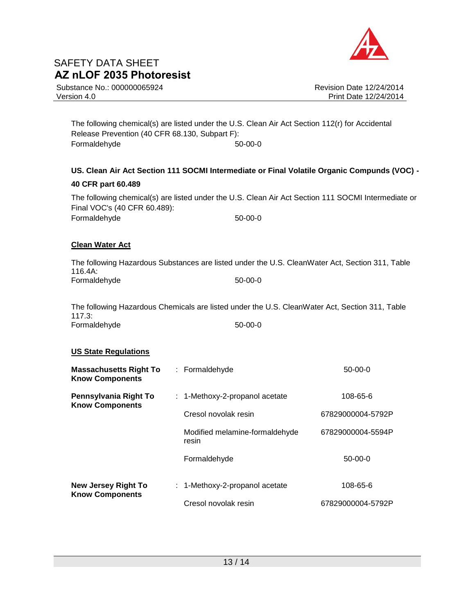

Substance No.: 000000065924 Version 4.0

Revision Date 12/24/2014 Print Date 12/24/2014

The following chemical(s) are listed under the U.S. Clean Air Act Section 112(r) for Accidental Release Prevention (40 CFR 68.130, Subpart F): Formaldehyde 50-00-0

## **US. Clean Air Act Section 111 SOCMI Intermediate or Final Volatile Organic Compunds (VOC) - 40 CFR part 60.489**

The following chemical(s) are listed under the U.S. Clean Air Act Section 111 SOCMI Intermediate or Final VOC's (40 CFR 60.489): Formaldehyde 50-00-0

### **Clean Water Act**

The following Hazardous Substances are listed under the U.S. CleanWater Act, Section 311, Table 116.4A: Formaldehyde 50-00-0

The following Hazardous Chemicals are listed under the U.S. CleanWater Act, Section 311, Table 117.3: Formaldehyde 50-00-0

### **US State Regulations**

| <b>Massachusetts Right To</b><br><b>Know Components</b> | : Formaldehyde                          | $50-00-0$         |
|---------------------------------------------------------|-----------------------------------------|-------------------|
| Pennsylvania Right To<br><b>Know Components</b>         | $: 1$ -Methoxy-2-propanol acetate       | 108-65-6          |
|                                                         | Cresol novolak resin                    | 67829000004-5792P |
|                                                         | Modified melamine-formaldehyde<br>resin | 67829000004-5594P |
|                                                         | Formaldehyde                            | $50-00-0$         |
| <b>New Jersey Right To</b><br><b>Know Components</b>    | $: 1$ -Methoxy-2-propanol acetate       | 108-65-6          |
|                                                         | Cresol novolak resin                    | 67829000004-5792P |